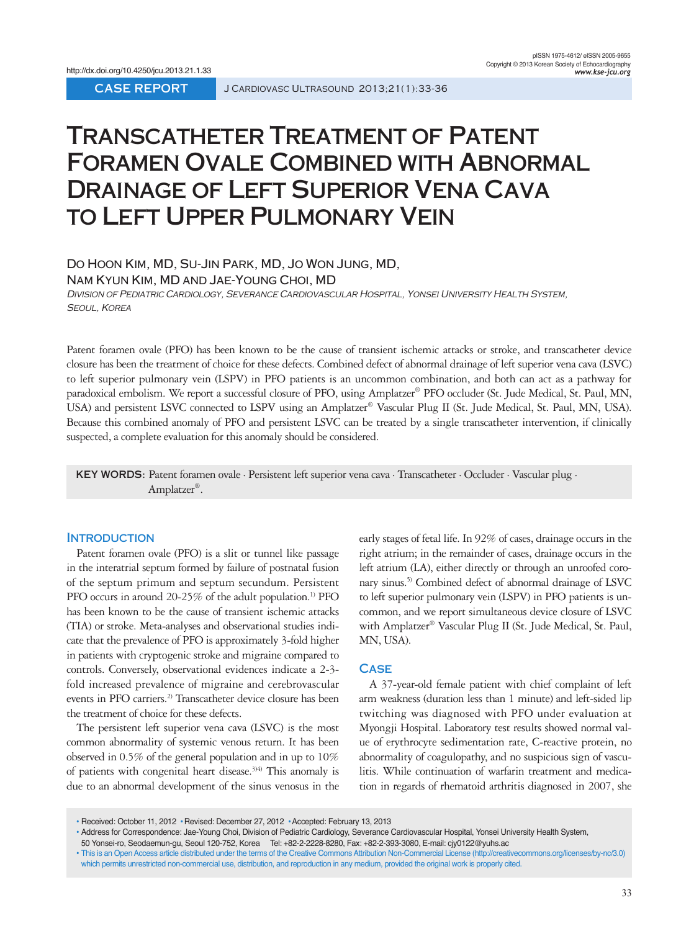# **Transcatheter Treatment of Patent Foramen Ovale Combined with Abnormal Drainage of Left Superior Vena Cava to Left Upper Pulmonary Vein**

Do Hoon Kim, MD, Su-Jin Park, MD, Jo Won Jung, MD,

Nam Kyun Kim, MD and Jae-Young Choi, MD

DIVISION OF PEDIATRIC CARDIOLOGY, SEVERANCE CARDIOVASCULAR HOSPITAL, YONSEI UNIVERSITY HEALTH SYSTEM, Seoul, Korea

Patent foramen ovale (PFO) has been known to be the cause of transient ischemic attacks or stroke, and transcatheter device closure has been the treatment of choice for these defects. Combined defect of abnormal drainage of left superior vena cava (LSVC) to left superior pulmonary vein (LSPV) in PFO patients is an uncommon combination, and both can act as a pathway for paradoxical embolism. We report a successful closure of PFO, using Amplatzer® PFO occluder (St. Jude Medical, St. Paul, MN, USA) and persistent LSVC connected to LSPV using an Amplatzer® Vascular Plug II (St. Jude Medical, St. Paul, MN, USA). Because this combined anomaly of PFO and persistent LSVC can be treated by a single transcatheter intervention, if clinically suspected, a complete evaluation for this anomaly should be considered.

**KEY WORDS:** Patent foramen ovale · Persistent left superior vena cava · Transcatheter · Occluder · Vascular plug · Amplatzer®.

## **Introduction**

Patent foramen ovale (PFO) is a slit or tunnel like passage in the interatrial septum formed by failure of postnatal fusion of the septum primum and septum secundum. Persistent PFO occurs in around 20-25% of the adult population.<sup>1)</sup> PFO has been known to be the cause of transient ischemic attacks (TIA) or stroke. Meta-analyses and observational studies indicate that the prevalence of PFO is approximately 3-fold higher in patients with cryptogenic stroke and migraine compared to controls. Conversely, observational evidences indicate a 2-3 fold increased prevalence of migraine and cerebrovascular events in PFO carriers.<sup>2)</sup> Transcatheter device closure has been the treatment of choice for these defects.

The persistent left superior vena cava (LSVC) is the most common abnormality of systemic venous return. It has been observed in 0.5% of the general population and in up to 10% of patients with congenital heart disease.<sup>3)4)</sup> This anomaly is due to an abnormal development of the sinus venosus in the

early stages of fetal life. In 92% of cases, drainage occurs in the right atrium; in the remainder of cases, drainage occurs in the left atrium (LA), either directly or through an unroofed coronary sinus.<sup>5)</sup> Combined defect of abnormal drainage of LSVC to left superior pulmonary vein (LSPV) in PFO patients is uncommon, and we report simultaneous device closure of LSVC with Amplatzer® Vascular Plug II (St. Jude Medical, St. Paul, MN, USA).

#### **Case**

A 37-year-old female patient with chief complaint of left arm weakness (duration less than 1 minute) and left-sided lip twitching was diagnosed with PFO under evaluation at Myongji Hospital. Laboratory test results showed normal value of erythrocyte sedimentation rate, C-reactive protein, no abnormality of coagulopathy, and no suspicious sign of vasculitis. While continuation of warfarin treatment and medication in regards of rhematoid arthritis diagnosed in 2007, she

<sup>•</sup> Received: October 11, 2012 •Revised: December 27, 2012 •Accepted: February 13, 2013

<sup>•</sup> Address for Correspondence: Jae-Young Choi, Division of Pediatric Cardiology, Severance Cardiovascular Hospital, Yonsei University Health System, 50 Yonsei-ro, Seodaemun-gu, Seoul 120-752, Korea Tel: +82-2-2228-8280, Fax: +82-2-393-3080, E-mail: cjy0122@yuhs.ac

<sup>•</sup> This is an Open Access article distributed under the terms of the Creative Commons Attribution Non-Commercial License (http://creativecommons.org/licenses/by-nc/3.0) which permits unrestricted non-commercial use, distribution, and reproduction in any medium, provided the original work is properly cited.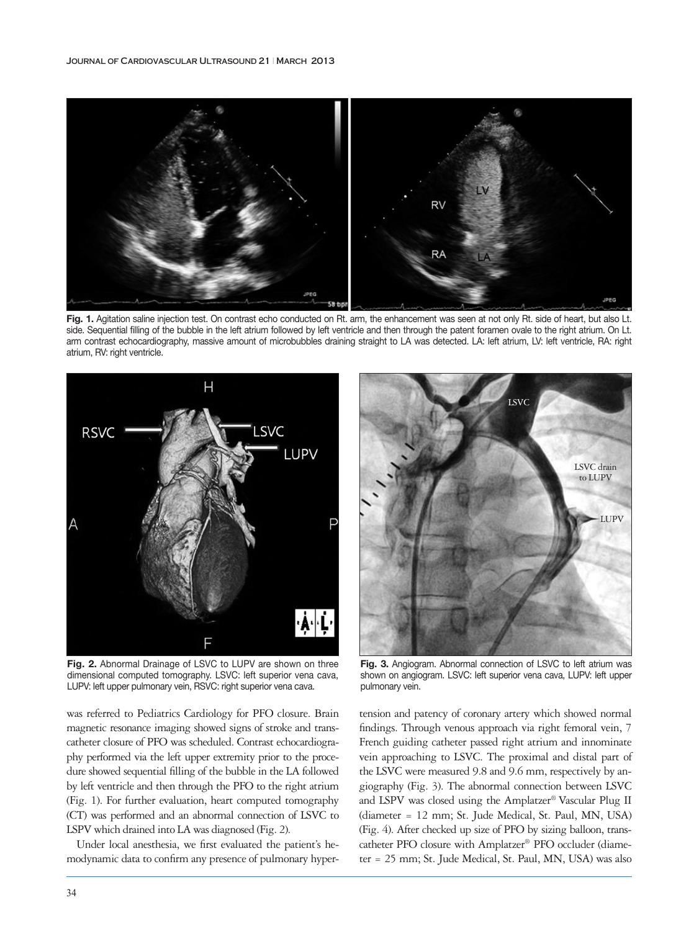

Fig. 1. Agitation saline injection test. On contrast echo conducted on Rt. arm, the enhancement was seen at not only Rt. side of heart, but also Lt. side. Sequential filling of the bubble in the left atrium followed by left ventricle and then through the patent foramen ovale to the right atrium. On Lt. arm contrast echocardiography, massive amount of microbubbles draining straight to LA was detected. LA: left atrium, LV: left ventricle, RA: right atrium, RV: right ventricle.



**Fig. 2.** Abnormal Drainage of LSVC to LUPV are shown on three dimensional computed tomography. LSVC: left superior vena cava, LUPV: left upper pulmonary vein, RSVC: right superior vena cava.

was referred to Pediatrics Cardiology for PFO closure. Brain magnetic resonance imaging showed signs of stroke and transcatheter closure of PFO was scheduled. Contrast echocardiography performed via the left upper extremity prior to the procedure showed sequential filling of the bubble in the LA followed by left ventricle and then through the PFO to the right atrium (Fig. 1). For further evaluation, heart computed tomography (CT) was performed and an abnormal connection of LSVC to LSPV which drained into LA was diagnosed (Fig. 2).

Under local anesthesia, we first evaluated the patient's hemodynamic data to confirm any presence of pulmonary hyper-



**Fig. 3.** Angiogram. Abnormal connection of LSVC to left atrium was shown on angiogram. LSVC: left superior vena cava, LUPV: left upper pulmonary vein.

tension and patency of coronary artery which showed normal findings. Through venous approach via right femoral vein, 7 French guiding catheter passed right atrium and innominate vein approaching to LSVC. The proximal and distal part of the LSVC were measured 9.8 and 9.6 mm, respectively by angiography (Fig. 3). The abnormal connection between LSVC and LSPV was closed using the Amplatzer® Vascular Plug II (diameter = 12 mm; St. Jude Medical, St. Paul, MN, USA) (Fig. 4). After checked up size of PFO by sizing balloon, transcatheter PFO closure with Amplatzer® PFO occluder (diameter = 25 mm; St. Jude Medical, St. Paul, MN, USA) was also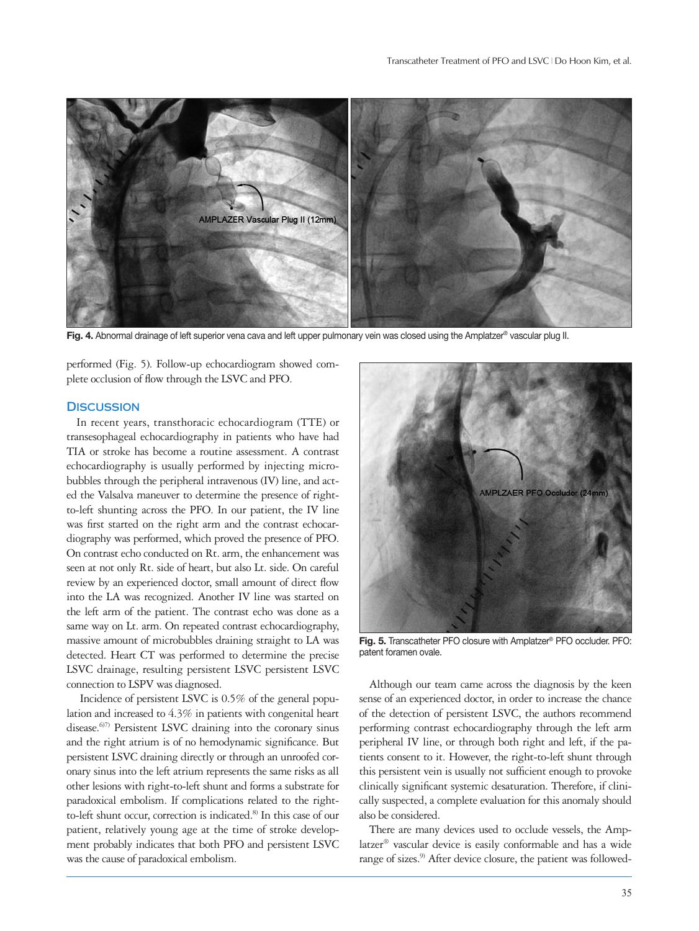

**Fig. 4.** Abnormal drainage of left superior vena cava and left upper pulmonary vein was closed using the Amplatzer® vascular plug II.

performed (Fig. 5). Follow-up echocardiogram showed complete occlusion of flow through the LSVC and PFO.

### **Discussion**

In recent years, transthoracic echocardiogram (TTE) or transesophageal echocardiography in patients who have had TIA or stroke has become a routine assessment. A contrast echocardiography is usually performed by injecting microbubbles through the peripheral intravenous (IV) line, and acted the Valsalva maneuver to determine the presence of rightto-left shunting across the PFO. In our patient, the IV line was first started on the right arm and the contrast echocardiography was performed, which proved the presence of PFO. On contrast echo conducted on Rt. arm, the enhancement was seen at not only Rt. side of heart, but also Lt. side. On careful review by an experienced doctor, small amount of direct flow into the LA was recognized. Another IV line was started on the left arm of the patient. The contrast echo was done as a same way on Lt. arm. On repeated contrast echocardiography, massive amount of microbubbles draining straight to LA was detected. Heart CT was performed to determine the precise LSVC drainage, resulting persistent LSVC persistent LSVC connection to LSPV was diagnosed.

 Incidence of persistent LSVC is 0.5% of the general population and increased to 4.3% in patients with congenital heart disease.<sup>6)7)</sup> Persistent LSVC draining into the coronary sinus and the right atrium is of no hemodynamic significance. But persistent LSVC draining directly or through an unroofed coronary sinus into the left atrium represents the same risks as all other lesions with right-to-left shunt and forms a substrate for paradoxical embolism. If complications related to the rightto-left shunt occur, correction is indicated.<sup>8)</sup> In this case of our patient, relatively young age at the time of stroke development probably indicates that both PFO and persistent LSVC was the cause of paradoxical embolism.



**Fig. 5.** Transcatheter PFO closure with Amplatzer® PFO occluder. PFO: patent foramen ovale.

Although our team came across the diagnosis by the keen sense of an experienced doctor, in order to increase the chance of the detection of persistent LSVC, the authors recommend performing contrast echocardiography through the left arm peripheral IV line, or through both right and left, if the patients consent to it. However, the right-to-left shunt through this persistent vein is usually not sufficient enough to provoke clinically significant systemic desaturation. Therefore, if clinically suspected, a complete evaluation for this anomaly should also be considered.

There are many devices used to occlude vessels, the Amplatzer® vascular device is easily conformable and has a wide range of sizes.<sup>9)</sup> After device closure, the patient was followed-